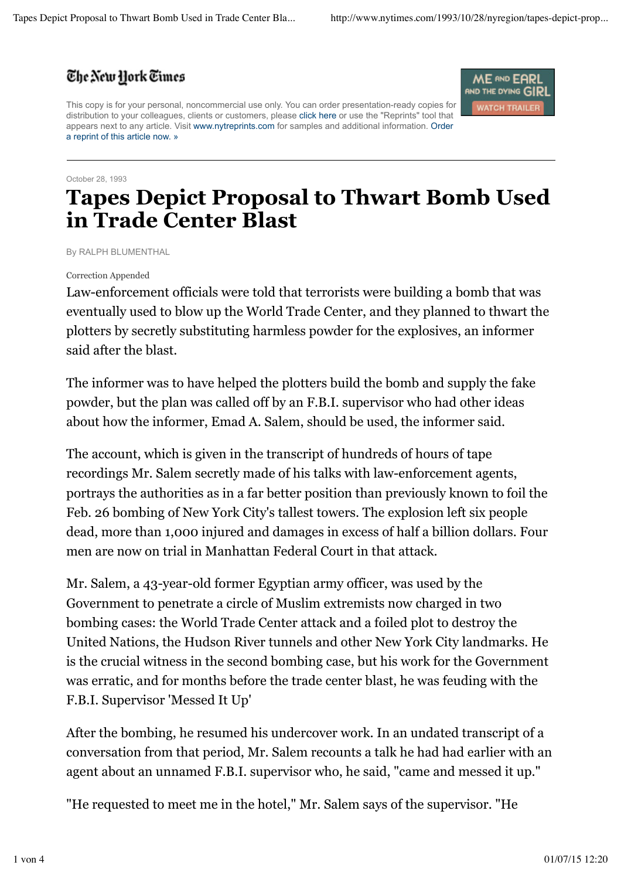

This copy is for your personal, noncommercial use only. You can order presentation-ready copies for distribution to your colleagues, clients or customers, please click here or use the "Reprints" tool that appears next to any article. Visit www.nytreprints.com for samples and additional information. Order a reprint of this article now. »

October 28, 1993



## **Tapes Depict Proposal to Thwart Bomb Used in Trade Center Blast**

By RALPH BLUMENTHAL

## Correction Appended

Law-enforcement officials were told that terrorists were building a bomb that was eventually used to blow up the World Trade Center, and they planned to thwart the plotters by secretly substituting harmless powder for the explosives, an informer said after the blast.

The informer was to have helped the plotters build the bomb and supply the fake powder, but the plan was called off by an F.B.I. supervisor who had other ideas about how the informer, Emad A. Salem, should be used, the informer said.

The account, which is given in the transcript of hundreds of hours of tape recordings Mr. Salem secretly made of his talks with law-enforcement agents, portrays the authorities as in a far better position than previously known to foil the Feb. 26 bombing of New York City's tallest towers. The explosion left six people dead, more than 1,000 injured and damages in excess of half a billion dollars. Four men are now on trial in Manhattan Federal Court in that attack.

Mr. Salem, a 43-year-old former Egyptian army officer, was used by the Government to penetrate a circle of Muslim extremists now charged in two bombing cases: the World Trade Center attack and a foiled plot to destroy the United Nations, the Hudson River tunnels and other New York City landmarks. He is the crucial witness in the second bombing case, but his work for the Government was erratic, and for months before the trade center blast, he was feuding with the F.B.I. Supervisor 'Messed It Up'

After the bombing, he resumed his undercover work. In an undated transcript of a conversation from that period, Mr. Salem recounts a talk he had had earlier with an agent about an unnamed F.B.I. supervisor who, he said, "came and messed it up."

"He requested to meet me in the hotel," Mr. Salem says of the supervisor. "He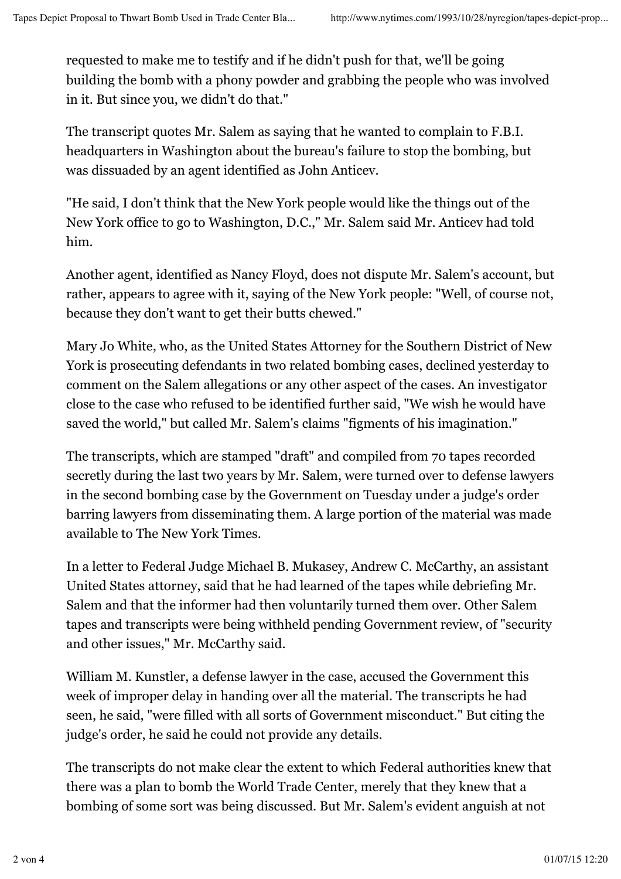requested to make me to testify and if he didn't push for that, we'll be going building the bomb with a phony powder and grabbing the people who was involved in it. But since you, we didn't do that."

The transcript quotes Mr. Salem as saying that he wanted to complain to F.B.I. headquarters in Washington about the bureau's failure to stop the bombing, but was dissuaded by an agent identified as John Anticev.

"He said, I don't think that the New York people would like the things out of the New York office to go to Washington, D.C.," Mr. Salem said Mr. Anticev had told him.

Another agent, identified as Nancy Floyd, does not dispute Mr. Salem's account, but rather, appears to agree with it, saying of the New York people: "Well, of course not, because they don't want to get their butts chewed."

Mary Jo White, who, as the United States Attorney for the Southern District of New York is prosecuting defendants in two related bombing cases, declined yesterday to comment on the Salem allegations or any other aspect of the cases. An investigator close to the case who refused to be identified further said, "We wish he would have saved the world," but called Mr. Salem's claims "figments of his imagination."

The transcripts, which are stamped "draft" and compiled from 70 tapes recorded secretly during the last two years by Mr. Salem, were turned over to defense lawyers in the second bombing case by the Government on Tuesday under a judge's order barring lawyers from disseminating them. A large portion of the material was made available to The New York Times.

In a letter to Federal Judge Michael B. Mukasey, Andrew C. McCarthy, an assistant United States attorney, said that he had learned of the tapes while debriefing Mr. Salem and that the informer had then voluntarily turned them over. Other Salem tapes and transcripts were being withheld pending Government review, of "security and other issues," Mr. McCarthy said.

William M. Kunstler, a defense lawyer in the case, accused the Government this week of improper delay in handing over all the material. The transcripts he had seen, he said, "were filled with all sorts of Government misconduct." But citing the judge's order, he said he could not provide any details.

The transcripts do not make clear the extent to which Federal authorities knew that there was a plan to bomb the World Trade Center, merely that they knew that a bombing of some sort was being discussed. But Mr. Salem's evident anguish at not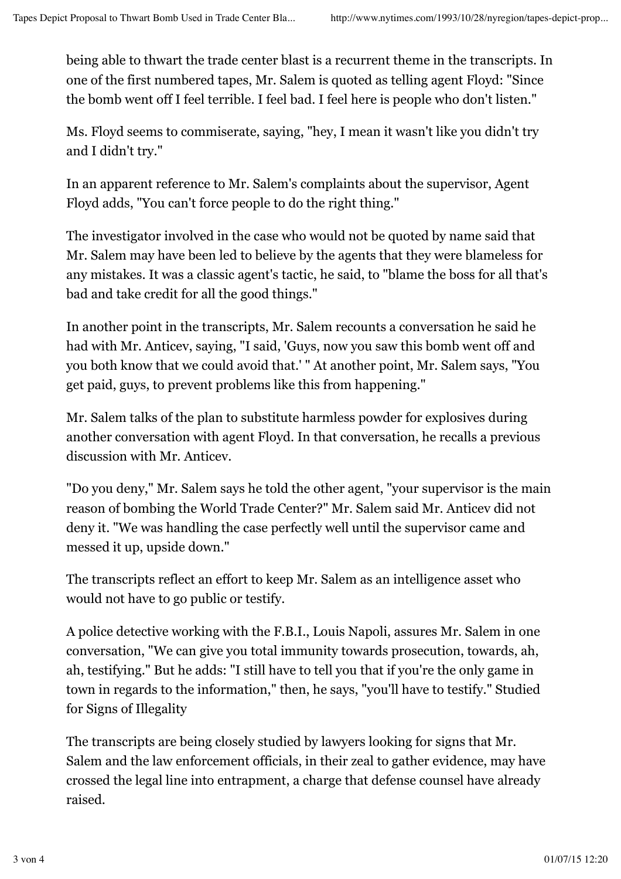being able to thwart the trade center blast is a recurrent theme in the transcripts. In one of the first numbered tapes, Mr. Salem is quoted as telling agent Floyd: "Since the bomb went off I feel terrible. I feel bad. I feel here is people who don't listen."

Ms. Floyd seems to commiserate, saying, "hey, I mean it wasn't like you didn't try and I didn't try."

In an apparent reference to Mr. Salem's complaints about the supervisor, Agent Floyd adds, "You can't force people to do the right thing."

The investigator involved in the case who would not be quoted by name said that Mr. Salem may have been led to believe by the agents that they were blameless for any mistakes. It was a classic agent's tactic, he said, to "blame the boss for all that's bad and take credit for all the good things."

In another point in the transcripts, Mr. Salem recounts a conversation he said he had with Mr. Anticev, saying, "I said, 'Guys, now you saw this bomb went off and you both know that we could avoid that.' " At another point, Mr. Salem says, "You get paid, guys, to prevent problems like this from happening."

Mr. Salem talks of the plan to substitute harmless powder for explosives during another conversation with agent Floyd. In that conversation, he recalls a previous discussion with Mr. Anticev.

"Do you deny," Mr. Salem says he told the other agent, "your supervisor is the main reason of bombing the World Trade Center?" Mr. Salem said Mr. Anticev did not deny it. "We was handling the case perfectly well until the supervisor came and messed it up, upside down."

The transcripts reflect an effort to keep Mr. Salem as an intelligence asset who would not have to go public or testify.

A police detective working with the F.B.I., Louis Napoli, assures Mr. Salem in one conversation, "We can give you total immunity towards prosecution, towards, ah, ah, testifying." But he adds: "I still have to tell you that if you're the only game in town in regards to the information," then, he says, "you'll have to testify." Studied for Signs of Illegality

The transcripts are being closely studied by lawyers looking for signs that Mr. Salem and the law enforcement officials, in their zeal to gather evidence, may have crossed the legal line into entrapment, a charge that defense counsel have already raised.